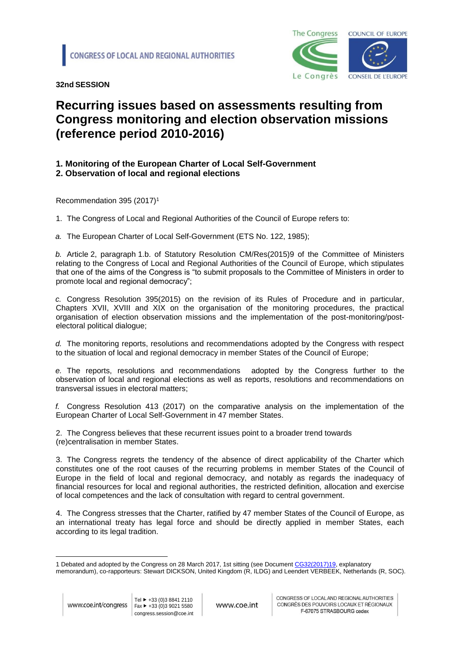

**32nd SESSION** 

## **Recurring issues based on assessments resulting from Congress monitoring and election observation missions (reference period 2010-2016)**

## **1. Monitoring of the European Charter of Local Self-Government**

**2. Observation of local and regional elections**

Recommendation 395 (2017)<sup>1</sup>

1. The Congress of Local and Regional Authorities of the Council of Europe refers to:

*a.* The European Charter of Local Self-Government (ETS No. 122, 1985);

*b.* Article 2, paragraph 1.b. of Statutory Resolution [CM/Res\(2015\)9](https://wcd.coe.int/ViewDoc.jsp?Ref=CM/Res(2011)2&Language=lanEnglish&Site=COE&BackColorInternet=DBDCF2&BackColorIntranet=FDC864&BackColorLogged=FDC864) of the Committee of Ministers relating to the Congress of Local and Regional Authorities of the Council of Europe, which stipulates that one of the aims of the Congress is "to submit proposals to the Committee of Ministers in order to promote local and regional democracy";

*c.* Congress Resolution 395(2015) on the revision of its Rules of Procedure and in particular, Chapters XVII, XVIII and XIX on the organisation of the monitoring procedures, the practical organisation of election observation missions and the implementation of the post-monitoring/postelectoral political dialogue;

*d.* The monitoring reports, resolutions and recommendations adopted by the Congress with respect to the situation of local and regional democracy in member States of the Council of Europe;

*e.* The reports, resolutions and recommendations adopted by the Congress further to the observation of local and regional elections as well as reports, resolutions and recommendations on transversal issues in electoral matters;

*f.* Congress Resolution 413 (2017) on the comparative analysis on the implementation of the European Charter of Local Self-Government in 47 member States.

2. The Congress believes that these recurrent issues point to a broader trend towards (re)centralisation in member States.

3. The Congress regrets the tendency of the absence of direct applicability of the Charter which constitutes one of the root causes of the recurring problems in member States of the Council of Europe in the field of local and regional democracy, and notably as regards the inadequacy of financial resources for local and regional authorities, the restricted definition, allocation and exercise of local competences and the lack of consultation with regard to central government.

4. The Congress stresses that the Charter, ratified by 47 member States of the Council of Europe, as an international treaty has legal force and should be directly applied in member States, each according to its legal tradition.

<sup>1</sup> 1 Debated and adopted by the Congress on 28 March 2017, 1st sitting (see Document [CG32\(2017\)19,](http://rm.coe.int/doc/09000016806fb9a8) explanatory memorandum), co-rapporteurs: Stewart DICKSON, United Kingdom (R, ILDG) and Leendert VERBEEK, Netherlands (R, SOC).